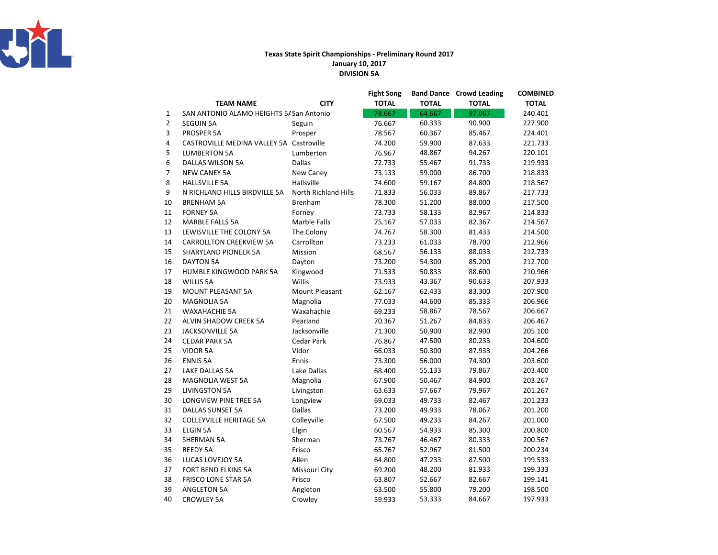

## Texas State Spirit Championships - Preliminary Round 2017January 10, 2017DIVISION 5A

|                |                                          |                             | <b>Fight Song</b> |              | <b>Band Dance Crowd Leading</b> | <b>COMBINED</b> |
|----------------|------------------------------------------|-----------------------------|-------------------|--------------|---------------------------------|-----------------|
|                | <b>TEAM NAME</b>                         | <b>CITY</b>                 | <b>TOTAL</b>      | <b>TOTAL</b> | <b>TOTAL</b>                    | <b>TOTAL</b>    |
| 1              | SAN ANTONIO ALAMO HEIGHTS 5/ San Antonio |                             | 78.667            | 64.667       | 97.067                          | 240.401         |
| $\overline{2}$ | <b>SEGUIN 5A</b>                         | Seguin                      | 76.667            | 60.333       | 90.900                          | 227.900         |
| 3              | PROSPER 5A                               | Prosper                     | 78.567            | 60.367       | 85.467                          | 224.401         |
| 4              | CASTROVILLE MEDINA VALLEY 5A Castroville |                             | 74.200            | 59.900       | 87.633                          | 221.733         |
| 5              | <b>LUMBERTON 5A</b>                      | Lumberton                   | 76.967            | 48.867       | 94.267                          | 220.101         |
| 6              | <b>DALLAS WILSON 5A</b>                  | Dallas                      | 72.733            | 55.467       | 91.733                          | 219.933         |
| $\overline{7}$ | <b>NEW CANEY 5A</b>                      | New Caney                   | 73.133            | 59.000       | 86.700                          | 218.833         |
| 8              | <b>HALLSVILLE 5A</b>                     | Hallsville                  | 74.600            | 59.167       | 84.800                          | 218.567         |
| 9              | N RICHLAND HILLS BIRDVILLE 5A            | <b>North Richland Hills</b> | 71.833            | 56.033       | 89.867                          | 217.733         |
| 10             | <b>BRENHAM 5A</b>                        | <b>Brenham</b>              | 78.300            | 51.200       | 88.000                          | 217.500         |
| 11             | <b>FORNEY 5A</b>                         | Forney                      | 73.733            | 58.133       | 82.967                          | 214.833         |
| 12             | <b>MARBLE FALLS 5A</b>                   | Marble Falls                | 75.167            | 57.033       | 82.367                          | 214.567         |
| 13             | LEWISVILLE THE COLONY 5A                 | The Colony                  | 74.767            | 58.300       | 81.433                          | 214.500         |
| 14             | <b>CARROLLTON CREEKVIEW 5A</b>           | Carrollton                  | 73.233            | 61.033       | 78.700                          | 212.966         |
| 15             | SHARYLAND PIONEER 5A                     | Mission                     | 68.567            | 56.133       | 88.033                          | 212.733         |
| 16             | <b>DAYTON 5A</b>                         | Dayton                      | 73.200            | 54.300       | 85.200                          | 212.700         |
| 17             | HUMBLE KINGWOOD PARK 5A                  | Kingwood                    | 71.533            | 50.833       | 88.600                          | 210.966         |
| 18             | <b>WILLIS 5A</b>                         | Willis                      | 73.933            | 43.367       | 90.633                          | 207.933         |
| 19             | <b>MOUNT PLEASANT 5A</b>                 | Mount Pleasant              | 62.167            | 62.433       | 83.300                          | 207.900         |
| 20             | <b>MAGNOLIA 5A</b>                       | Magnolia                    | 77.033            | 44.600       | 85.333                          | 206.966         |
| 21             | <b>WAXAHACHIE 5A</b>                     | Waxahachie                  | 69.233            | 58.867       | 78.567                          | 206.667         |
| 22             | <b>ALVIN SHADOW CREEK 5A</b>             | Pearland                    | 70.367            | 51.267       | 84.833                          | 206.467         |
| 23             | <b>JACKSONVILLE 5A</b>                   | Jacksonville                | 71.300            | 50.900       | 82.900                          | 205.100         |
| 24             | <b>CEDAR PARK 5A</b>                     | <b>Cedar Park</b>           | 76.867            | 47.500       | 80.233                          | 204.600         |
| 25             | <b>VIDOR 5A</b>                          | Vidor                       | 66.033            | 50.300       | 87.933                          | 204.266         |
| 26             | <b>ENNIS 5A</b>                          | Ennis                       | 73.300            | 56.000       | 74.300                          | 203.600         |
| 27             | LAKE DALLAS 5A                           | Lake Dallas                 | 68.400            | 55.133       | 79.867                          | 203.400         |
| 28             | <b>MAGNOLIA WEST 5A</b>                  | Magnolia                    | 67.900            | 50.467       | 84.900                          | 203.267         |
| 29             | <b>LIVINGSTON 5A</b>                     | Livingston                  | 63.633            | 57.667       | 79.967                          | 201.267         |
| 30             | LONGVIEW PINE TREE 5A                    | Longview                    | 69.033            | 49.733       | 82.467                          | 201.233         |
| 31             | <b>DALLAS SUNSET 5A</b>                  | Dallas                      | 73.200            | 49.933       | 78.067                          | 201.200         |
| 32             | <b>COLLEYVILLE HERITAGE 5A</b>           | Colleyville                 | 67.500            | 49.233       | 84.267                          | 201.000         |
| 33             | <b>ELGIN 5A</b>                          | Elgin                       | 60.567            | 54.933       | 85.300                          | 200.800         |
| 34             | <b>SHERMAN 5A</b>                        | Sherman                     | 73.767            | 46.467       | 80.333                          | 200.567         |
| 35             | <b>REEDY 5A</b>                          | Frisco                      | 65.767            | 52.967       | 81.500                          | 200.234         |
| 36             | LUCAS LOVEJOY 5A                         | Allen                       | 64.800            | 47.233       | 87.500                          | 199.533         |
| 37             | FORT BEND ELKINS 5A                      | Missouri City               | 69.200            | 48.200       | 81.933                          | 199.333         |
| 38             | <b>FRISCO LONE STAR 5A</b>               | Frisco                      | 63.807            | 52.667       | 82.667                          | 199.141         |
| 39             | <b>ANGLETON 5A</b>                       | Angleton                    | 63.500            | 55.800       | 79.200                          | 198.500         |
| 40             | <b>CROWLEY 5A</b>                        | Crowley                     | 59.933            | 53.333       | 84.667                          | 197.933         |
|                |                                          |                             |                   |              |                                 |                 |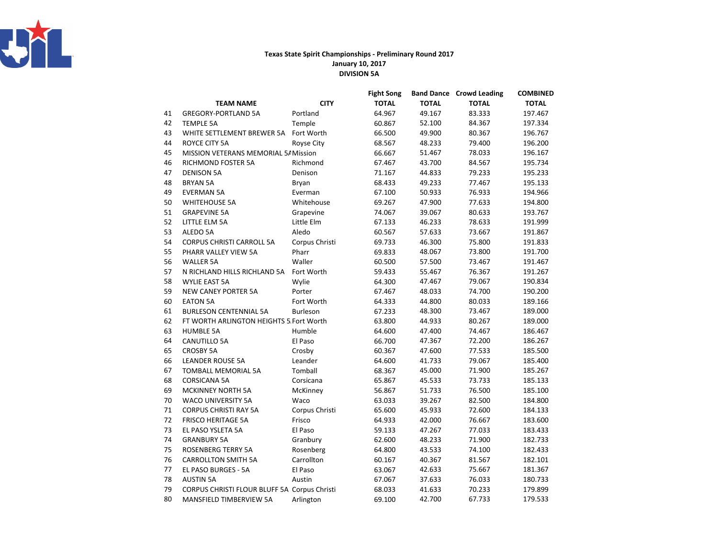

## Texas State Spirit Championships - Preliminary Round 2017January 10, 2017DIVISION 5A

|    |                                              |                | <b>Fight Song</b> |              | <b>Band Dance Crowd Leading</b> | <b>COMBINED</b> |
|----|----------------------------------------------|----------------|-------------------|--------------|---------------------------------|-----------------|
|    | <b>TEAM NAME</b>                             | <b>CITY</b>    | <b>TOTAL</b>      | <b>TOTAL</b> | <b>TOTAL</b>                    | <b>TOTAL</b>    |
| 41 | <b>GREGORY-PORTLAND 5A</b>                   | Portland       | 64.967            | 49.167       | 83.333                          | 197.467         |
| 42 | <b>TEMPLE 5A</b>                             | Temple         | 60.867            | 52.100       | 84.367                          | 197.334         |
| 43 | WHITE SETTLEMENT BREWER 5A                   | Fort Worth     | 66.500            | 49.900       | 80.367                          | 196.767         |
| 44 | ROYCE CITY 5A                                | Royse City     | 68.567            | 48.233       | 79.400                          | 196.200         |
| 45 | MISSION VETERANS MEMORIAL 5/ Mission         |                | 66.667            | 51.467       | 78.033                          | 196.167         |
| 46 | <b>RICHMOND FOSTER 5A</b>                    | Richmond       | 67.467            | 43.700       | 84.567                          | 195.734         |
| 47 | <b>DENISON 5A</b>                            | Denison        | 71.167            | 44.833       | 79.233                          | 195.233         |
| 48 | <b>BRYAN 5A</b>                              | Bryan          | 68.433            | 49.233       | 77.467                          | 195.133         |
| 49 | <b>EVERMAN 5A</b>                            | Everman        | 67.100            | 50.933       | 76.933                          | 194.966         |
| 50 | <b>WHITEHOUSE 5A</b>                         | Whitehouse     | 69.267            | 47.900       | 77.633                          | 194.800         |
| 51 | <b>GRAPEVINE 5A</b>                          | Grapevine      | 74.067            | 39.067       | 80.633                          | 193.767         |
| 52 | LITTLE ELM 5A                                | Little Elm     | 67.133            | 46.233       | 78.633                          | 191.999         |
| 53 | ALEDO 5A                                     | Aledo          | 60.567            | 57.633       | 73.667                          | 191.867         |
| 54 | <b>CORPUS CHRISTI CARROLL 5A</b>             | Corpus Christi | 69.733            | 46.300       | 75.800                          | 191.833         |
| 55 | PHARR VALLEY VIEW 5A                         | Pharr          | 69.833            | 48.067       | 73.800                          | 191.700         |
| 56 | <b>WALLER 5A</b>                             | Waller         | 60.500            | 57.500       | 73.467                          | 191.467         |
| 57 | N RICHLAND HILLS RICHLAND 5A                 | Fort Worth     | 59.433            | 55.467       | 76.367                          | 191.267         |
| 58 | <b>WYLIE EAST 5A</b>                         | Wylie          | 64.300            | 47.467       | 79.067                          | 190.834         |
| 59 | <b>NEW CANEY PORTER 5A</b>                   | Porter         | 67.467            | 48.033       | 74.700                          | 190.200         |
| 60 | <b>EATON 5A</b>                              | Fort Worth     | 64.333            | 44.800       | 80.033                          | 189.166         |
| 61 | <b>BURLESON CENTENNIAL 5A</b>                | Burleson       | 67.233            | 48.300       | 73.467                          | 189.000         |
| 62 | FT WORTH ARLINGTON HEIGHTS 5 Fort Worth      |                | 63.800            | 44.933       | 80.267                          | 189.000         |
| 63 | <b>HUMBLE 5A</b>                             | Humble         | 64.600            | 47.400       | 74.467                          | 186.467         |
| 64 | CANUTILLO 5A                                 | El Paso        | 66.700            | 47.367       | 72.200                          | 186.267         |
| 65 | <b>CROSBY 5A</b>                             | Crosby         | 60.367            | 47.600       | 77.533                          | 185.500         |
| 66 | <b>LEANDER ROUSE 5A</b>                      | Leander        | 64.600            | 41.733       | 79.067                          | 185.400         |
| 67 | <b>TOMBALL MEMORIAL 5A</b>                   | Tomball        | 68.367            | 45.000       | 71.900                          | 185.267         |
| 68 | <b>CORSICANA 5A</b>                          | Corsicana      | 65.867            | 45.533       | 73.733                          | 185.133         |
| 69 | <b>MCKINNEY NORTH 5A</b>                     | McKinney       | 56.867            | 51.733       | 76.500                          | 185.100         |
| 70 | <b>WACO UNIVERSITY 5A</b>                    | Waco           | 63.033            | 39.267       | 82.500                          | 184.800         |
| 71 | <b>CORPUS CHRISTI RAY 5A</b>                 | Corpus Christi | 65.600            | 45.933       | 72.600                          | 184.133         |
| 72 | <b>FRISCO HERITAGE 5A</b>                    | Frisco         | 64.933            | 42.000       | 76.667                          | 183.600         |
| 73 | EL PASO YSLETA 5A                            | El Paso        | 59.133            | 47.267       | 77.033                          | 183.433         |
| 74 | <b>GRANBURY 5A</b>                           | Granbury       | 62.600            | 48.233       | 71.900                          | 182.733         |
| 75 | <b>ROSENBERG TERRY 5A</b>                    | Rosenberg      | 64.800            | 43.533       | 74.100                          | 182.433         |
| 76 | <b>CARROLLTON SMITH 5A</b>                   | Carrollton     | 60.167            | 40.367       | 81.567                          | 182.101         |
| 77 | EL PASO BURGES - 5A                          | El Paso        | 63.067            | 42.633       | 75.667                          | 181.367         |
| 78 | <b>AUSTIN 5A</b>                             | Austin         | 67.067            | 37.633       | 76.033                          | 180.733         |
| 79 | CORPUS CHRISTI FLOUR BLUFF 5A Corpus Christi |                | 68.033            | 41.633       | 70.233                          | 179.899         |
| 80 | MANSFIELD TIMBERVIEW 5A                      | Arlington      | 69.100            | 42.700       | 67.733                          | 179.533         |